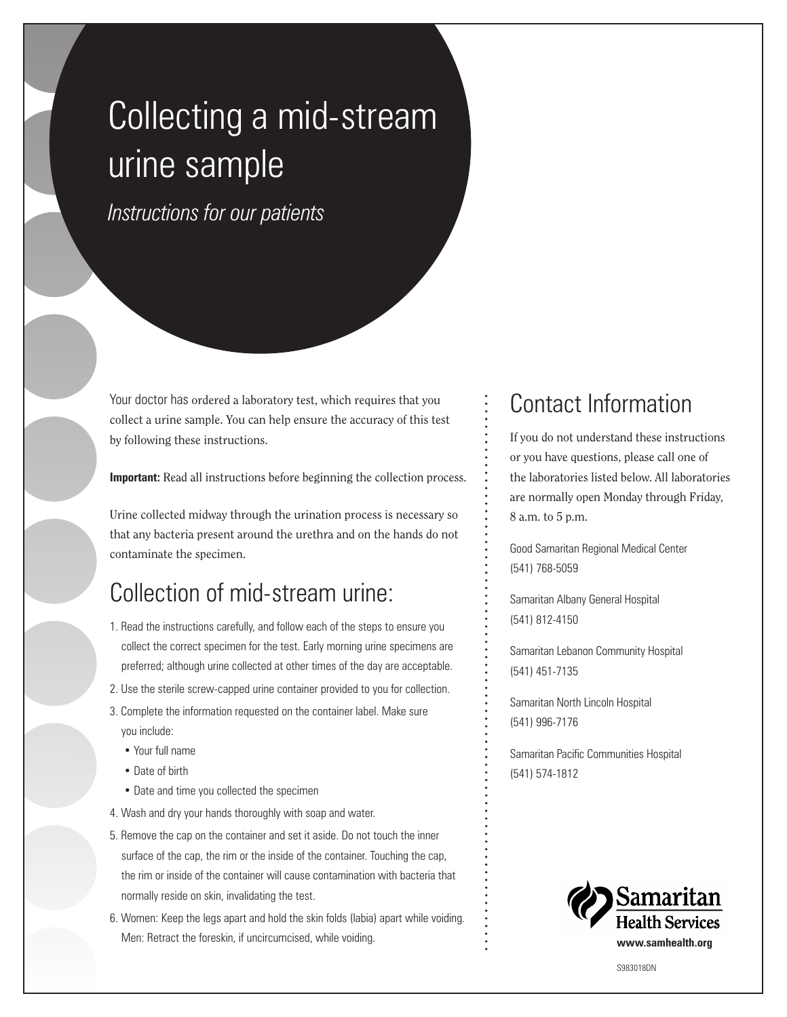## Collecting a mid-stream urine sample

*Instructions for our patients*

Your doctor has ordered a laboratory test, which requires that you collect a urine sample. You can help ensure the accuracy of this test by following these instructions.

**Important:** Read all instructions before beginning the collection process.

Urine collected midway through the urination process is necessary so that any bacteria present around the urethra and on the hands do not contaminate the specimen.

## Collection of mid-stream urine:

- 1. Read the instructions carefully, and follow each of the steps to ensure you collect the correct specimen for the test. Early morning urine specimens are preferred; although urine collected at other times of the day are acceptable.
- 2. Use the sterile screw-capped urine container provided to you for collection.
- 3. Complete the information requested on the container label. Make sure you include:
	- Your full name
	- Date of birth
	- Date and time you collected the specimen
- 4. Wash and dry your hands thoroughly with soap and water.
- 5. Remove the cap on the container and set it aside. Do not touch the inner surface of the cap, the rim or the inside of the container. Touching the cap, the rim or inside of the container will cause contamination with bacteria that normally reside on skin, invalidating the test.
- 6. Women: Keep the legs apart and hold the skin folds (labia) apart while voiding. Men: Retract the foreskin, if uncircumcised, while voiding.

## Contact Information

If you do not understand these instructions or you have questions, please call one of the laboratories listed below. All laboratories are normally open Monday through Friday, 8 a.m. to 5 p.m.

Good Samaritan Regional Medical Center (541) 768-5059

Samaritan Albany General Hospital (541) 812-4150

Samaritan Lebanon Community Hospital (541) 451-7135

Samaritan North Lincoln Hospital (541) 996-7176

Samaritan Pacific Communities Hospital (541) 574-1812



S983018DN